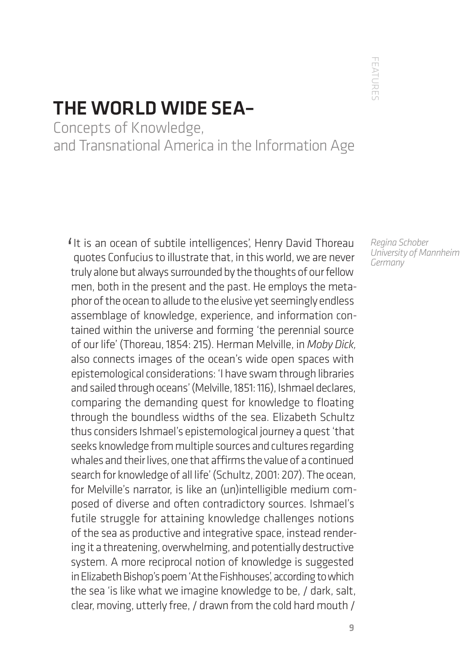FEATURE' FEATURES

## THE WORLD WIDE SEA–

Concepts of Knowledge, and Transnational America in the Information Age

It is an ocean of subtile intelligences', Henry David Thoreau<br>quotes Confucius to illustrate that, in this world, we are never quotes Confucius to illustrate that, in this world, we are never truly alone but always surrounded by the thoughts of our fellow men, both in the present and the past. He employs the metaphor of the ocean to allude to the elusive yet seemingly endless assemblage of knowledge, experience, and information contained within the universe and forming 'the perennial source of our life' (Thoreau, 1854: 215). Herman Melville, in *Moby Dick,*  also connects images of the ocean's wide open spaces with epistemological considerations: 'I have swam through libraries and sailed through oceans' (Melville, 1851: 116), Ishmael declares, comparing the demanding quest for knowledge to floating through the boundless widths of the sea. Elizabeth Schultz thus considers Ishmael's epistemological journey a quest 'that seeks knowledge from multiple sources and cultures regarding whales and their lives, one that affirms the value of a continued search for knowledge of all life' (Schultz, 2001: 207). The ocean, for Melville's narrator, is like an (un)intelligible medium composed of diverse and often contradictory sources. Ishmael's futile struggle for attaining knowledge challenges notions of the sea as productive and integrative space, instead rendering it a threatening, overwhelming, and potentially destructive system. A more reciprocal notion of knowledge is suggested in Elizabeth Bishop's poem 'At the Fishhouses', according to which the sea 'is like what we imagine knowledge to be, / dark, salt, clear, moving, utterly free, / drawn from the cold hard mouth /

*Regina Schober University of Mannheim Germany*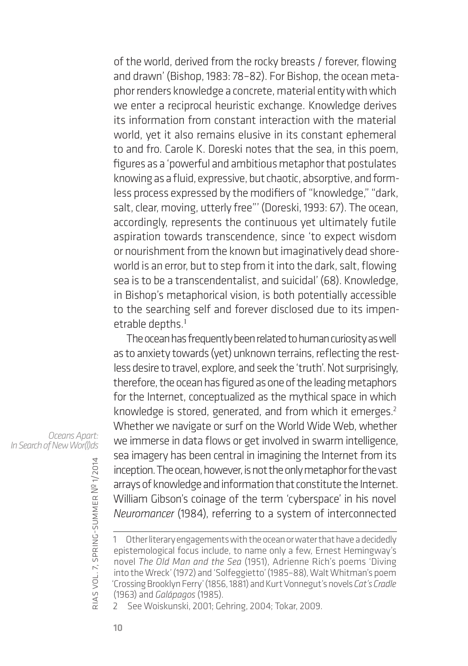of the world, derived from the rocky breasts / forever, flowing and drawn' (Bishop, 1983: 78–82). For Bishop, the ocean metaphor renders knowledge a concrete, material entity with which we enter a reciprocal heuristic exchange. Knowledge derives its information from constant interaction with the material world, yet it also remains elusive in its constant ephemeral to and fro. Carole K. Doreski notes that the sea, in this poem, figures as a 'powerful and ambitious metaphor that postulates knowing as a fluid, expressive, but chaotic, absorptive, and formless process expressed by the modifiers of "knowledge," "dark, salt, clear, moving, utterly free"' (Doreski, 1993: 67). The ocean, accordingly, represents the continuous yet ultimately futile aspiration towards transcendence, since 'to expect wisdom or nourishment from the known but imaginatively dead shoreworld is an error, but to step from it into the dark, salt, flowing sea is to be a transcendentalist, and suicidal' (68). Knowledge, in Bishop's metaphorical vision, is both potentially accessible to the searching self and forever disclosed due to its impenetrable depths.<sup>1</sup>

The ocean has frequently been related to human curiosity as well as to anxiety towards (yet) unknown terrains, reflecting the restless desire to travel, explore, and seek the 'truth'. Not surprisingly, therefore, the ocean has figured as one of the leading metaphors for the Internet, conceptualized as the mythical space in which knowledge is stored, generated, and from which it emerges.<sup>2</sup> Whether we navigate or surf on the World Wide Web, whether we immerse in data flows or get involved in swarm intelligence, sea imagery has been central in imagining the Internet from its inception. The ocean, however, is not the only metaphor for the vast arrays of knowledge and information that constitute the Internet. William Gibson's coinage of the term 'cyberspace' in his novel *Neuromancer* (1984), referring to a system of interconnected

*Oceans Apart: In Search of New Wor(l)ds*

rias

vol. 7, spring-summer

<sup>1</sup> Other literary engagements with the ocean or water that have a decidedly epistemological focus include, to name only a few, Ernest Hemingway's novel *The Old Man and the Sea* (1951), Adrienne Rich's poems 'Diving into the Wreck' (1972) and 'Solfeggietto' (1985–88), Walt Whitman's poem 'Crossing Brooklyn Ferry' (1856, 1881) and Kurt Vonnegut's novels *Cat's Cradle* (1963) and *Galápagos* (1985).

<sup>2</sup> See Woiskunski, 2001; Gehring, 2004; Tokar, 2009.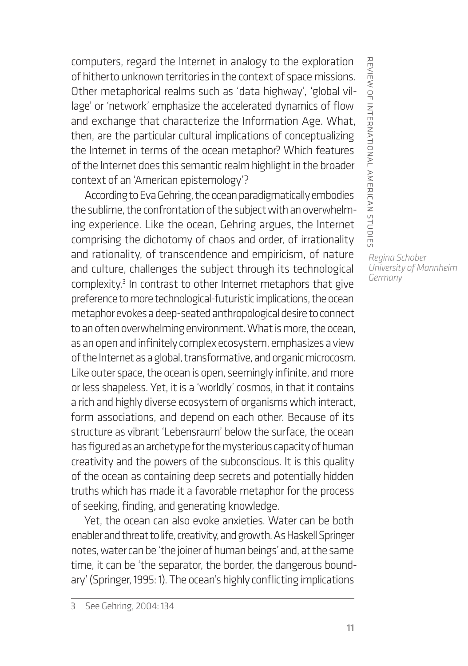computers, regard the Internet in analogy to the exploration of hitherto unknown territories in the context of space missions. Other metaphorical realms such as 'data highway', 'global village' or 'network' emphasize the accelerated dynamics of flow and exchange that characterize the Information Age. What, then, are the particular cultural implications of conceptualizing the Internet in terms of the ocean metaphor? Which features of the Internet does this semantic realm highlight in the broader context of an 'American epistemology'?

According to Eva Gehring, the ocean paradigmatically embodies the sublime, the confrontation of the subject with an overwhelming experience. Like the ocean, Gehring argues, the Internet comprising the dichotomy of chaos and order, of irrationality and rationality, of transcendence and empiricism, of nature and culture, challenges the subject through its technological complexity.<sup>3</sup> In contrast to other Internet metaphors that give preference to more technological-futuristic implications, the ocean metaphor evokes a deep-seated anthropological desire to connect to an often overwhelming environment. What is more, the ocean, as an open and infinitely complex ecosystem, emphasizes a view of the Internet as a global, transformative, and organic microcosm. Like outer space, the ocean is open, seemingly infinite, and more or less shapeless. Yet, it is a 'worldly' cosmos, in that it contains a rich and highly diverse ecosystem of organisms which interact, form associations, and depend on each other. Because of its structure as vibrant 'Lebensraum' below the surface, the ocean has figured as an archetype for the mysterious capacity of human creativity and the powers of the subconscious. It is this quality of the ocean as containing deep secrets and potentially hidden truths which has made it a favorable metaphor for the process of seeking, finding, and generating knowledge.

Yet, the ocean can also evoke anxieties. Water can be both enabler and threat to life, creativity, and growth. As Haskell Springer notes, water can be 'the joiner of human beings' and, at the same time, it can be 'the separator, the border, the dangerous boundary' (Springer, 1995: 1). The ocean's highly conflicting implications

REVIEW OF INTERNATIONAL AMERICAN STUDIE: review of international american studies *Regina Schober University of Mannheim Germany*

<sup>3</sup> See Gehring, 2004: 134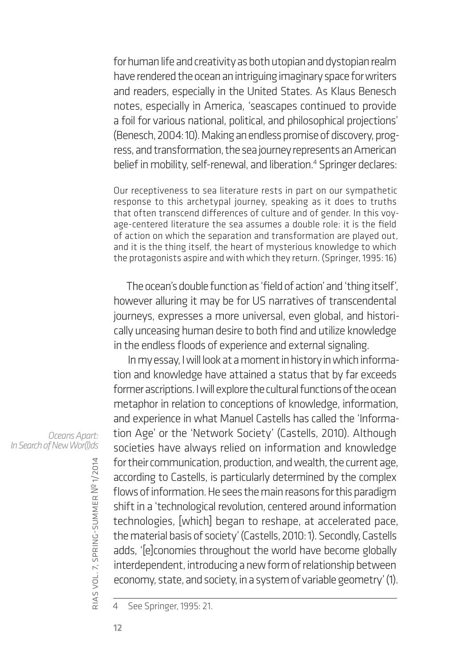for human life and creativity as both utopian and dystopian realm have rendered the ocean an intriguing imaginary space for writers and readers, especially in the United States. As Klaus Benesch notes, especially in America, 'seascapes continued to provide a foil for various national, political, and philosophical projections' (Benesch, 2004: 10). Making an endless promise of discovery, progress, and transformation, the sea journey represents an American belief in mobility, self-renewal, and liberation.4 Springer declares:

Our receptiveness to sea literature rests in part on our sympathetic response to this archetypal journey, speaking as it does to truths that often transcend differences of culture and of gender. In this voyage-centered literature the sea assumes a double role: it is the field of action on which the separation and transformation are played out, and it is the thing itself, the heart of mysterious knowledge to which the protagonists aspire and with which they return. (Springer, 1995: 16)

The ocean's double function as 'field of action' and 'thing itself', however alluring it may be for US narratives of transcendental journeys, expresses a more universal, even global, and historically unceasing human desire to both find and utilize knowledge in the endless floods of experience and external signaling.

In my essay, I will look at a moment in history in which information and knowledge have attained a status that by far exceeds former ascriptions. I will explore the cultural functions of the ocean metaphor in relation to conceptions of knowledge, information, and experience in what Manuel Castells has called the 'Information Age' or the 'Network Society' (Castells, 2010). Although societies have always relied on information and knowledge for their communication, production, and wealth, the current age, according to Castells, is particularly determined by the complex flows of information. He sees the main reasons for this paradigm shift in a 'technological revolution, centered around information technologies, [which] began to reshape, at accelerated pace, the material basis of society' (Castells, 2010: 1). Secondly, Castells adds, '[e]conomies throughout the world have become globally interdependent, introducing a new form of relationship between economy, state, and society, in a system of variable geometry' (1).

4 See Springer, 1995: 21.

*Oceans Apart: In Search of New Wor(l)ds*

rias

vol. 7, spring-summer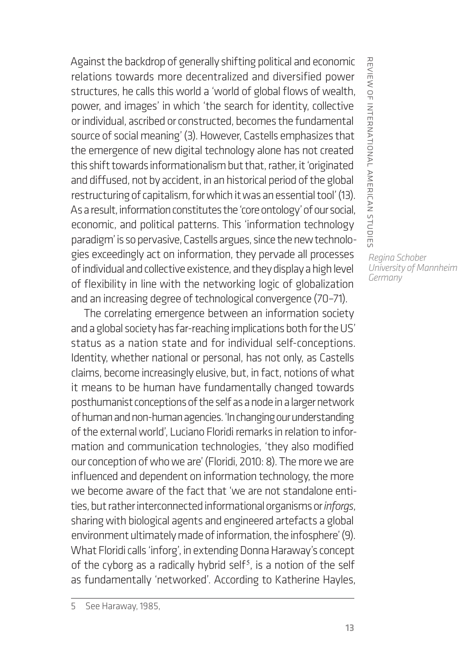Against the backdrop of generally shifting political and economic relations towards more decentralized and diversified power structures, he calls this world a 'world of global flows of wealth, power, and images' in which 'the search for identity, collective or individual, ascribed or constructed, becomes the fundamental source of social meaning' (3). However, Castells emphasizes that the emergence of new digital technology alone has not created this shift towards informationalism but that, rather, it 'originated and diffused, not by accident, in an historical period of the global restructuring of capitalism, for which it was an essential tool' (13). As a result, information constitutes the 'core ontology' of our social, economic, and political patterns. This 'information technology paradigm' is so pervasive, Castells argues, since the new technologies exceedingly act on information, they pervade all processes of individual and collective existence, and they display a high level of flexibility in line with the networking logic of globalization and an increasing degree of technological convergence (70–71).

The correlating emergence between an information society and a global society has far-reaching implications both for the US' status as a nation state and for individual self-conceptions. Identity, whether national or personal, has not only, as Castells claims, become increasingly elusive, but, in fact, notions of what it means to be human have fundamentally changed towards posthumanist conceptions of the self as a node in a larger network of human and non-human agencies. 'In changing our understanding of the external world', Luciano Floridi remarks in relation to information and communication technologies, 'they also modified our conception of who we are' (Floridi, 2010: 8). The more we are influenced and dependent on information technology, the more we become aware of the fact that 'we are not standalone entities, but rather interconnected informational organisms or *inforgs*, sharing with biological agents and engineered artefacts a global environment ultimately made of information, the infosphere' (9). What Floridi calls 'inforg', in extending Donna Haraway's concept of the cyborg as a radically hybrid self<sup>5</sup>, is a notion of the self as fundamentally 'networked'. According to Katherine Hayles,

REVIEW OF INTERNATIONAL AMERICAN STUDIE: review of international american studies *Regina Schober University of Mannheim Germany*

<sup>5</sup> See Haraway, 1985,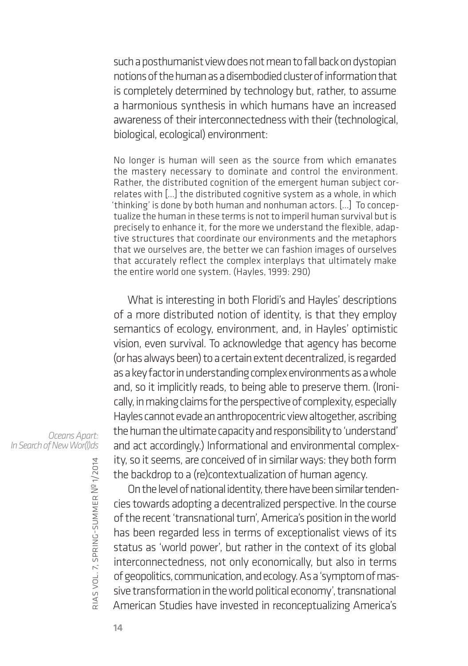such a posthumanist view does not mean to fall back on dystopian notions of the human as a disembodied cluster of information that is completely determined by technology but, rather, to assume a harmonious synthesis in which humans have an increased awareness of their interconnectedness with their (technological, biological, ecological) environment:

No longer is human will seen as the source from which emanates the mastery necessary to dominate and control the environment. Rather, the distributed cognition of the emergent human subject correlates with […] the distributed cognitive system as a whole, in which 'thinking' is done by both human and nonhuman actors. […] To conceptualize the human in these terms is not to imperil human survival but is precisely to enhance it, for the more we understand the flexible, adaptive structures that coordinate our environments and the metaphors that we ourselves are, the better we can fashion images of ourselves that accurately reflect the complex interplays that ultimately make the entire world one system. (Hayles, 1999: 290)

What is interesting in both Floridi's and Hayles' descriptions of a more distributed notion of identity, is that they employ semantics of ecology, environment, and, in Hayles' optimistic vision, even survival. To acknowledge that agency has become (or has always been) to a certain extent decentralized, is regarded as a key factor in understanding complex environments as a whole and, so it implicitly reads, to being able to preserve them. (Ironically, in making claims for the perspective of complexity, especially Hayles cannot evade an anthropocentric view altogether, ascribing the human the ultimate capacity and responsibility to 'understand' and act accordingly.) Informational and environmental complexity, so it seems, are conceived of in similar ways: they both form the backdrop to a (re)contextualization of human agency.

*Oceans Apart: In Search of New Wor(l)ds*

> On the level of national identity, there have been similar tendencies towards adopting a decentralized perspective. In the course of the recent 'transnational turn', America's position in the world has been regarded less in terms of exceptionalist views of its status as 'world power', but rather in the context of its global interconnectedness, not only economically, but also in terms of geopolitics, communication, and ecology. As a 'symptom of massive transformation in the world political economy', transnational American Studies have invested in reconceptualizing America's

rias

vol. 7, spring-summer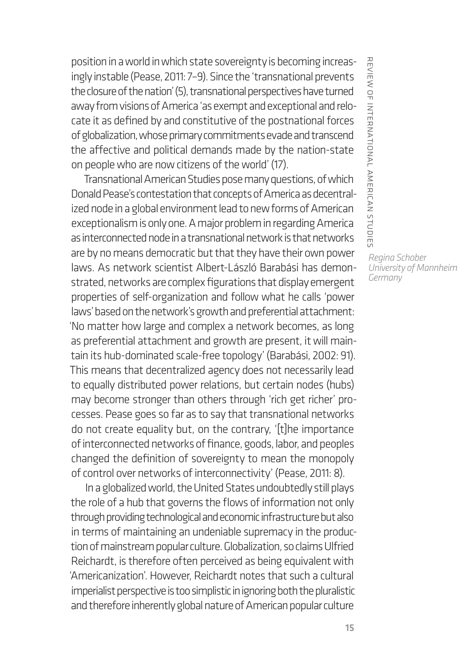position in a world in which state sovereignty is becoming increasingly instable (Pease, 2011: 7–9). Since the 'transnational prevents the closure of the nation' (5), transnational perspectives have turned away from visions of America 'as exempt and exceptional and relocate it as defined by and constitutive of the postnational forces of globalization, whose primary commitments evade and transcend the affective and political demands made by the nation-state on people who are now citizens of the world' (17).

Transnational American Studies pose many questions, of which Donald Pease's contestation that concepts of America as decentralized node in a global environment lead to new forms of American exceptionalism is only one. A major problem in regarding America as interconnected node in a transnational network is that networks are by no means democratic but that they have their own power laws. As network scientist Albert-László Barabási has demonstrated, networks are complex figurations that display emergent properties of self-organization and follow what he calls 'power laws' based on the network's growth and preferential attachment: 'No matter how large and complex a network becomes, as long as preferential attachment and growth are present, it will maintain its hub-dominated scale-free topology' (Barabási, 2002: 91). This means that decentralized agency does not necessarily lead to equally distributed power relations, but certain nodes (hubs) may become stronger than others through 'rich get richer' processes. Pease goes so far as to say that transnational networks do not create equality but, on the contrary, '[t]he importance of interconnected networks of finance, goods, labor, and peoples changed the definition of sovereignty to mean the monopoly of control over networks of interconnectivity' (Pease, 2011: 8).

In a globalized world, the United States undoubtedly still plays the role of a hub that governs the flows of information not only through providing technological and economic infrastructure but also in terms of maintaining an undeniable supremacy in the production of mainstream popular culture. Globalization, so claims Ulfried Reichardt, is therefore often perceived as being equivalent with 'Americanization'. However, Reichardt notes that such a cultural imperialist perspective is too simplistic in ignoring both the pluralistic and therefore inherently global nature of American popular culture

REVIEW OF INTERNATIONAL AMERICAN STUDIE: review of international american studies *Regina Schober University of Mannheim*

*Germany*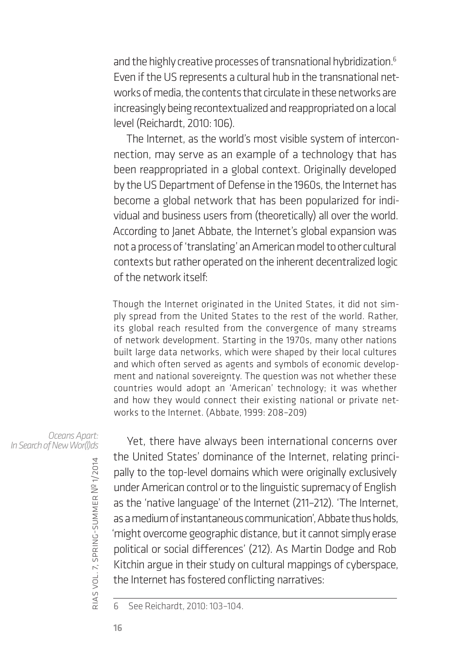and the highly creative processes of transnational hybridization.<sup>6</sup> Even if the US represents a cultural hub in the transnational networks of media, the contents that circulate in these networks are increasingly being recontextualized and reappropriated on a local level (Reichardt, 2010: 106).

The Internet, as the world's most visible system of interconnection, may serve as an example of a technology that has been reappropriated in a global context. Originally developed by the US Department of Defense in the 1960s, the Internet has become a global network that has been popularized for individual and business users from (theoretically) all over the world. According to Janet Abbate, the Internet's global expansion was not a process of 'translating' an American model to other cultural contexts but rather operated on the inherent decentralized logic of the network itself:

Though the Internet originated in the United States, it did not simply spread from the United States to the rest of the world. Rather, its global reach resulted from the convergence of many streams of network development. Starting in the 1970s, many other nations built large data networks, which were shaped by their local cultures and which often served as agents and symbols of economic development and national sovereignty. The question was not whether these countries would adopt an 'American' technology; it was whether and how they would connect their existing national or private networks to the Internet. (Abbate, 1999: 208–209)

*Oceans Apart: In Search of New Wor(l)ds*

Yet, there have always been international concerns over the United States' dominance of the Internet, relating principally to the top-level domains which were originally exclusively under American control or to the linguistic supremacy of English as the 'native language' of the Internet (211–212). 'The Internet, as a medium of instantaneous communication', Abbate thus holds, 'might overcome geographic distance, but it cannot simply erase political or social differences' (212). As Martin Dodge and Rob Kitchin argue in their study on cultural mappings of cyberspace, the Internet has fostered conflicting narratives:

6 See Reichardt, 2010: 103–104.

rias

vol. 7, spring-summer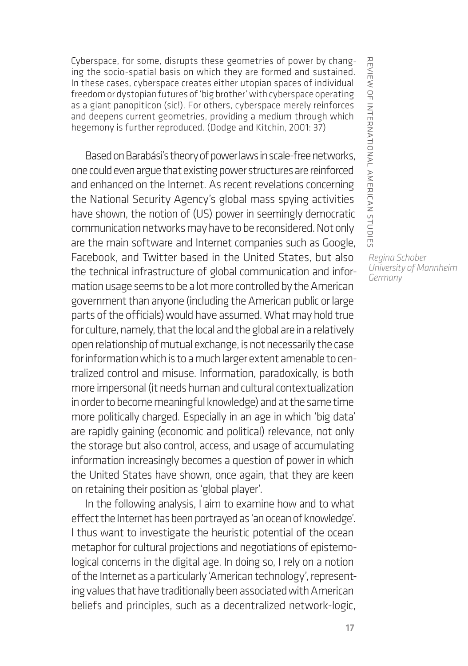Cyberspace, for some, disrupts these geometries of power by changing the socio-spatial basis on which they are formed and sustained. In these cases, cyberspace creates either utopian spaces of individual freedom or dystopian futures of 'big brother' with cyberspace operating as a giant panopiticon (sic!). For others, cyberspace merely reinforces and deepens current geometries, providing a medium through which hegemony is further reproduced. (Dodge and Kitchin, 2001: 37)

Based on Barabási's theory of power laws in scale-free networks, one could even argue that existing power structures are reinforced and enhanced on the Internet. As recent revelations concerning the National Security Agency's global mass spying activities have shown, the notion of (US) power in seemingly democratic communication networks may have to be reconsidered. Not only are the main software and Internet companies such as Google, Facebook, and Twitter based in the United States, but also the technical infrastructure of global communication and information usage seems to be a lot more controlled by the American government than anyone (including the American public or large parts of the officials) would have assumed. What may hold true for culture, namely, that the local and the global are in a relatively open relationship of mutual exchange, is not necessarily the case for information which is to a much larger extent amenable to centralized control and misuse. Information, paradoxically, is both more impersonal (it needs human and cultural contextualization in order to become meaningful knowledge) and at the same time more politically charged. Especially in an age in which 'big data' are rapidly gaining (economic and political) relevance, not only the storage but also control, access, and usage of accumulating information increasingly becomes a question of power in which the United States have shown, once again, that they are keen on retaining their position as 'global player'.

In the following analysis, I aim to examine how and to what effect the Internet has been portrayed as 'an ocean of knowledge'. I thus want to investigate the heuristic potential of the ocean metaphor for cultural projections and negotiations of epistemological concerns in the digital age. In doing so, I rely on a notion of the Internet as a particularly 'American technology', representing values that have traditionally been associated with American beliefs and principles, such as a decentralized network-logic,

REVIEW OF INTERNATIONAL AMERICAN STUDIE: review of international american studies

> *Regina Schober University of Mannheim Germany*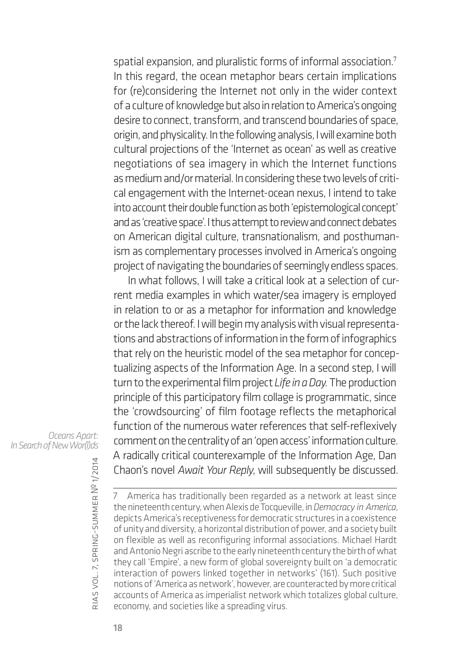spatial expansion, and pluralistic forms of informal association.<sup>7</sup> In this regard, the ocean metaphor bears certain implications for (re)considering the Internet not only in the wider context of a culture of knowledge but also in relation to America's ongoing desire to connect, transform, and transcend boundaries of space, origin, and physicality. In the following analysis, I will examine both cultural projections of the 'Internet as ocean' as well as creative negotiations of sea imagery in which the Internet functions as medium and/or material. In considering these two levels of critical engagement with the Internet-ocean nexus, I intend to take into account their double function as both 'epistemological concept' and as 'creative space'. I thus attempt to review and connect debates on American digital culture, transnationalism, and posthumanism as complementary processes involved in America's ongoing project of navigating the boundaries of seemingly endless spaces.

In what follows, I will take a critical look at a selection of current media examples in which water/sea imagery is employed in relation to or as a metaphor for information and knowledge or the lack thereof. I will begin my analysis with visual representations and abstractions of information in the form of infographics that rely on the heuristic model of the sea metaphor for conceptualizing aspects of the Information Age. In a second step, I will turn to the experimental film project *Life in a Day.* The production principle of this participatory film collage is programmatic, since the 'crowdsourcing' of film footage reflects the metaphorical function of the numerous water references that self-reflexively comment on the centrality of an 'open access' information culture. A radically critical counterexample of the Information Age, Dan Chaon's novel *Await Your Reply*, will subsequently be discussed.

*Oceans Apart: In Search of New Wor(l)ds*

> rias vol. 7, spring-summer № 1/2014

7 America has traditionally been regarded as a network at least since the nineteenth century, when Alexis de Tocqueville, in *Democracy in America*, depicts America's receptiveness for democratic structures in a coexistence of unity and diversity, a horizontal distribution of power, and a society built on flexible as well as reconfiguring informal associations. Michael Hardt and Antonio Negri ascribe to the early nineteenth century the birth of what they call 'Empire', a new form of global sovereignty built on 'a democratic interaction of powers linked together in networks' (161). Such positive notions of 'America as network', however, are counteracted by more critical accounts of America as imperialist network which totalizes global culture, economy, and societies like a spreading virus.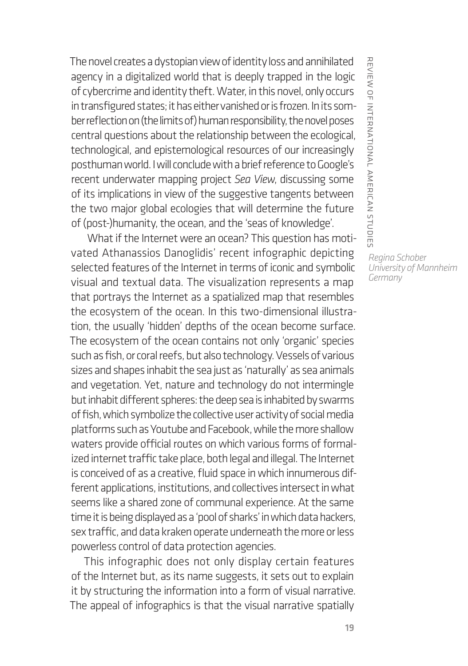The novel creates a dystopian view of identity loss and annihilated agency in a digitalized world that is deeply trapped in the logic of cybercrime and identity theft. Water, in this novel, only occurs in transfigured states; it has either vanished or is frozen. In its somber reflection on (the limits of) human responsibility, the novel poses central questions about the relationship between the ecological, technological, and epistemological resources of our increasingly posthuman world. I will conclude with a brief reference to Google's recent underwater mapping project *Sea View*, discussing some of its implications in view of the suggestive tangents between the two major global ecologies that will determine the future of (post-)humanity, the ocean, and the 'seas of knowledge'.

 What if the Internet were an ocean? This question has motivated Athanassios Danoglidis' recent infographic depicting selected features of the Internet in terms of iconic and symbolic visual and textual data. The visualization represents a map that portrays the Internet as a spatialized map that resembles the ecosystem of the ocean. In this two-dimensional illustration, the usually 'hidden' depths of the ocean become surface. The ecosystem of the ocean contains not only 'organic' species such as fish, or coral reefs, but also technology. Vessels of various sizes and shapes inhabit the sea just as 'naturally' as sea animals and vegetation. Yet, nature and technology do not intermingle but inhabit different spheres: the deep sea is inhabited by swarms of fish, which symbolize the collective user activity of social media platforms such as Youtube and Facebook, while the more shallow waters provide official routes on which various forms of formalized internet traffic take place, both legal and illegal. The Internet is conceived of as a creative, fluid space in which innumerous different applications, institutions, and collectives intersect in what seems like a shared zone of communal experience. At the same time it is being displayed as a 'pool of sharks' in which data hackers, sex traffic, and data kraken operate underneath the more or less powerless control of data protection agencies.

This infographic does not only display certain features of the Internet but, as its name suggests, it sets out to explain it by structuring the information into a form of visual narrative. The appeal of infographics is that the visual narrative spatially

*Regina Schober*

*University of Mannheim*

*Germany*

review of international american studies

REVIEW OF INTERNATIONAL AMERICAN STUDIE: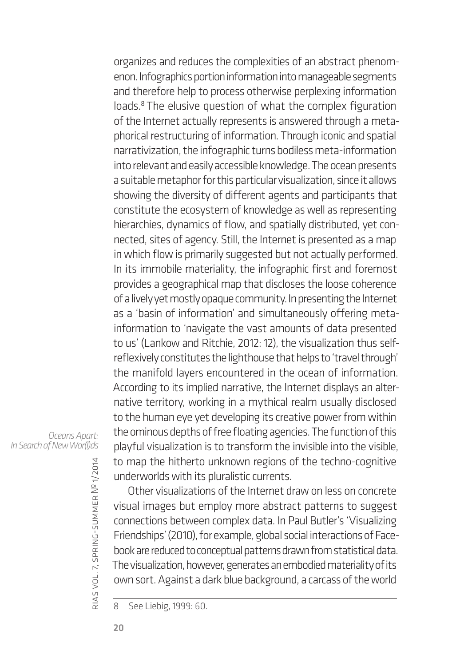organizes and reduces the complexities of an abstract phenomenon. Infographics portion information into manageable segments and therefore help to process otherwise perplexing information loads.<sup>8</sup> The elusive question of what the complex figuration of the Internet actually represents is answered through a metaphorical restructuring of information. Through iconic and spatial narrativization, the infographic turns bodiless meta-information into relevant and easily accessible knowledge. The ocean presents a suitable metaphor for this particular visualization, since it allows showing the diversity of different agents and participants that constitute the ecosystem of knowledge as well as representing hierarchies, dynamics of flow, and spatially distributed, yet connected, sites of agency. Still, the Internet is presented as a map in which flow is primarily suggested but not actually performed. In its immobile materiality, the infographic first and foremost provides a geographical map that discloses the loose coherence of a lively yet mostly opaque community. In presenting the Internet as a 'basin of information' and simultaneously offering metainformation to 'navigate the vast amounts of data presented to us' (Lankow and Ritchie, 2012: 12), the visualization thus selfreflexively constitutes the lighthouse that helps to 'travel through' the manifold layers encountered in the ocean of information. According to its implied narrative, the Internet displays an alternative territory, working in a mythical realm usually disclosed to the human eye yet developing its creative power from within the ominous depths of free floating agencies. The function of this playful visualization is to transform the invisible into the visible, to map the hitherto unknown regions of the techno-cognitive underworlds with its pluralistic currents.

*Oceans Apart: In Search of New Wor(l)ds*

> rias vol. 7, spring-summer № 1/2014

Other visualizations of the Internet draw on less on concrete visual images but employ more abstract patterns to suggest connections between complex data. In Paul Butler's 'Visualizing Friendships' (2010), for example, global social interactions of Facebook are reduced to conceptual patterns drawn from statistical data. The visualization, however, generates an embodied materiality of its own sort. Against a dark blue background, a carcass of the world

<sup>8</sup> See Liebig, 1999: 60.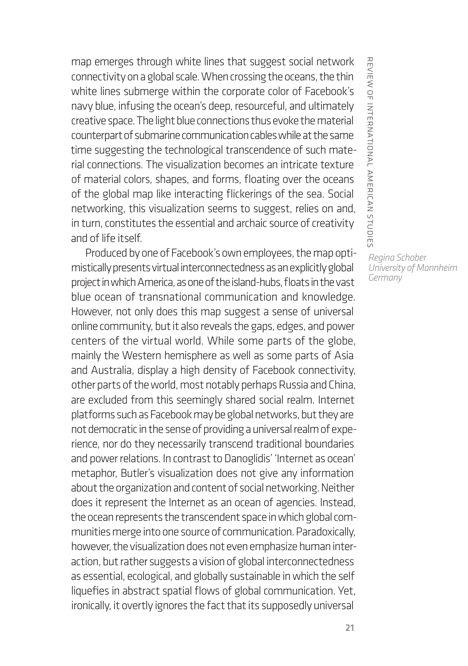map emerges through white lines that suggest social network connectivity on a global scale. When crossing the oceans, the thin white lines submerge within the corporate color of Facebook's navy blue, infusing the ocean's deep, resourceful, and ultimately creative space. The light blue connections thus evoke the material counterpart of submarine communication cables while at the same time suggesting the technological transcendence of such material connections. The visualization becomes an intricate texture of material colors, shapes, and forms, floating over the oceans of the global map like interacting flickerings of the sea. Social networking, this visualization seems to suggest, relies on and, in turn, constitutes the essential and archaic source of creativity and of life itself.

Produced by one of Facebook's own employees, the map optimistically presents virtual interconnectedness as an explicitly global project in which America, as one of the island-hubs, floats in the vast blue ocean of transnational communication and knowledge. However, not only does this map suggest a sense of universal online community, but it also reveals the gaps, edges, and power centers of the virtual world. While some parts of the globe, mainly the Western hemisphere as well as some parts of Asia and Australia, display a high density of Facebook connectivity, other parts of the world, most notably perhaps Russia and China, are excluded from this seemingly shared social realm. Internet platforms such as Facebook may be global networks, but they are not democratic in the sense of providing a universal realm of experience, nor do they necessarily transcend traditional boundaries and power relations. In contrast to Danoglidis' 'Internet as ocean' metaphor, Butler's visualization does not give any information about the organization and content of social networking. Neither does it represent the Internet as an ocean of agencies. Instead, the ocean represents the transcendent space in which global communities merge into one source of communication. Paradoxically, however, the visualization does not even emphasize human interaction, but rather suggests a vision of global interconnectedness as essential, ecological, and globally sustainable in which the self liquefies in abstract spatial flows of global communication. Yet, ironically, it overtly ignores the fact that its supposedly universal

REVIEW OF INTERNATIONAL AMERICAN STUDIES review of international american studies *Regina Schober University of Mannheim*

*Germany*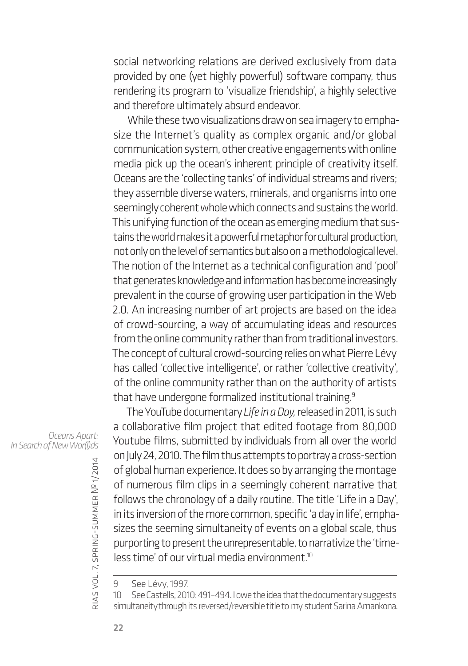social networking relations are derived exclusively from data provided by one (yet highly powerful) software company, thus rendering its program to 'visualize friendship', a highly selective and therefore ultimately absurd endeavor.

While these two visualizations draw on sea imagery to emphasize the Internet's quality as complex organic and/or global communication system, other creative engagements with online media pick up the ocean's inherent principle of creativity itself. Oceans are the 'collecting tanks' of individual streams and rivers; they assemble diverse waters, minerals, and organisms into one seemingly coherent whole which connects and sustains the world. This unifying function of the ocean as emerging medium that sustains the world makes it a powerful metaphor for cultural production, not only on the level of semantics but also on a methodological level. The notion of the Internet as a technical configuration and 'pool' that generates knowledge and information has become increasingly prevalent in the course of growing user participation in the Web 2.0. An increasing number of art projects are based on the idea of crowd-sourcing, a way of accumulating ideas and resources from the online community rather than from traditional investors. The concept of cultural crowd-sourcing relies on what Pierre Lévy has called 'collective intelligence', or rather 'collective creativity', of the online community rather than on the authority of artists that have undergone formalized institutional training.<sup>9</sup>

The YouTube documentary *Life in a Day,* released in 2011, is such a collaborative film project that edited footage from 80,000 Youtube films, submitted by individuals from all over the world on July 24, 2010. The film thus attempts to portray a cross-section of global human experience. It does so by arranging the montage of numerous film clips in a seemingly coherent narrative that follows the chronology of a daily routine. The title 'Life in a Day', in its inversion of the more common, specific 'a day in life', emphasizes the seeming simultaneity of events on a global scale, thus purporting to present the unrepresentable, to narrativize the 'time $less time' of our virtual media environment<sup>10</sup>$ 

*Oceans Apart: In Search of New Wor(l)ds*

rias

vol. 7, spring-summer

<sup>9</sup> See Lévy, 1997.

<sup>10</sup> See Castells, 2010: 491–494. I owe the idea that the documentary suggests simultaneity through its reversed/reversible title to my student Sarina Amankona.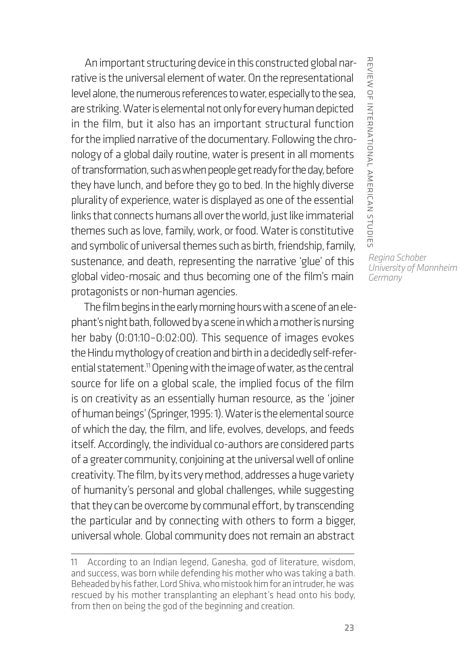An important structuring device in this constructed global narrative is the universal element of water. On the representational level alone, the numerous references to water, especially to the sea, are striking. Water is elemental not only for every human depicted in the film, but it also has an important structural function for the implied narrative of the documentary. Following the chronology of a global daily routine, water is present in all moments of transformation, such as when people get ready for the day, before they have lunch, and before they go to bed. In the highly diverse plurality of experience, water is displayed as one of the essential links that connects humans all over the world, just like immaterial themes such as love, family, work, or food. Water is constitutive and symbolic of universal themes such as birth, friendship, family, sustenance, and death, representing the narrative 'glue' of this global video-mosaic and thus becoming one of the film's main protagonists or non-human agencies.

The film begins in the early morning hours with a scene of an elephant's night bath, followed by a scene in which a mother is nursing her baby (0:01:10–0:02:00). This sequence of images evokes the Hindu mythology of creation and birth in a decidedly self-referential statement.<sup>11</sup> Opening with the image of water, as the central source for life on a global scale, the implied focus of the film is on creativity as an essentially human resource, as the 'joiner of human beings' (Springer, 1995: 1). Water is the elemental source of which the day, the film, and life, evolves, develops, and feeds itself. Accordingly, the individual co-authors are considered parts of a greater community, conjoining at the universal well of online creativity. The film, by its very method, addresses a huge variety of humanity's personal and global challenges, while suggesting that they can be overcome by communal effort, by transcending the particular and by connecting with others to form a bigger, universal whole. Global community does not remain an abstract

REVIEW OF INTERNATIONAL AMERICAN STUDIES review of international american studies *Regina Schober University of Mannheim*

*Germany*

<sup>11</sup> According to an Indian legend, Ganesha, god of literature, wisdom, and success, was born while defending his mother who was taking a bath. Beheaded by his father, Lord Shiva, who mistook him for an intruder, he was rescued by his mother transplanting an elephant's head onto his body, from then on being the god of the beginning and creation.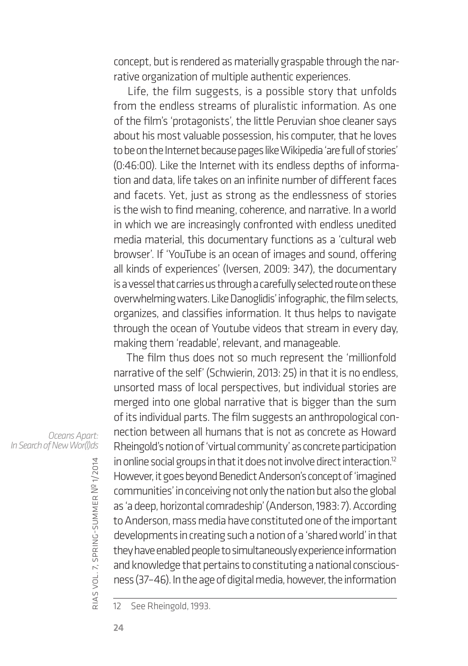concept, but is rendered as materially graspable through the narrative organization of multiple authentic experiences.

Life, the film suggests, is a possible story that unfolds from the endless streams of pluralistic information. As one of the film's 'protagonists', the little Peruvian shoe cleaner says about his most valuable possession, his computer, that he loves to be on the Internet because pages like Wikipedia 'are full of stories' (0:46:00). Like the Internet with its endless depths of information and data, life takes on an infinite number of different faces and facets. Yet, just as strong as the endlessness of stories is the wish to find meaning, coherence, and narrative. In a world in which we are increasingly confronted with endless unedited media material, this documentary functions as a 'cultural web browser'. If 'YouTube is an ocean of images and sound, offering all kinds of experiences' (Iversen, 2009: 347), the documentary is a vessel that carries us through a carefully selected route on these overwhelming waters. Like Danoglidis' infographic, the film selects, organizes, and classifies information. It thus helps to navigate through the ocean of Youtube videos that stream in every day, making them 'readable', relevant, and manageable.

The film thus does not so much represent the 'millionfold narrative of the self' (Schwierin, 2013: 25) in that it is no endless, unsorted mass of local perspectives, but individual stories are merged into one global narrative that is bigger than the sum of its individual parts. The film suggests an anthropological connection between all humans that is not as concrete as Howard Rheingold's notion of 'virtual community' as concrete participation in online social groups in that it does not involve direct interaction.12 However, it goes beyond Benedict Anderson's concept of 'imagined communities' in conceiving not only the nation but also the global as 'a deep, horizontal comradeship' (Anderson, 1983: 7). According to Anderson, mass media have constituted one of the important developments in creating such a notion of a 'shared world' in that they have enabled people to simultaneously experience information and knowledge that pertains to constituting a national consciousness (37–46). In the age of digital media, however, the information

*Oceans Apart: In Search of New Wor(l)ds*

rias

vol. 7, spring-summer

<sup>12</sup> See Rheingold, 1993.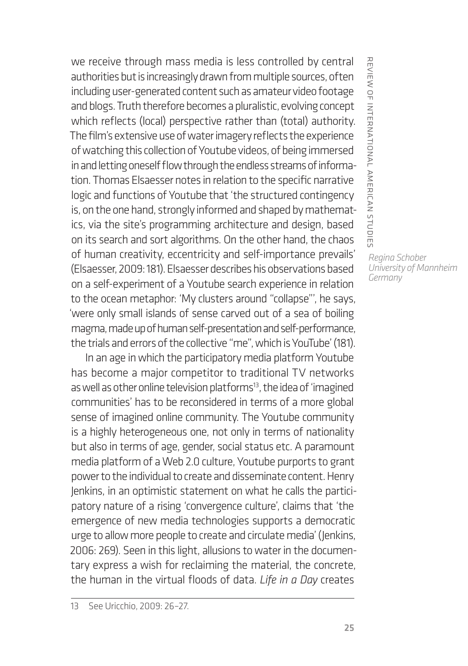we receive through mass media is less controlled by central authorities but is increasingly drawn from multiple sources, often including user-generated content such as amateur video footage and blogs. Truth therefore becomes a pluralistic, evolving concept which reflects (local) perspective rather than (total) authority. The film's extensive use of water imagery reflects the experience of watching this collection of Youtube videos, of being immersed in and letting oneself flow through the endless streams of information. Thomas Elsaesser notes in relation to the specific narrative logic and functions of Youtube that 'the structured contingency is, on the one hand, strongly informed and shaped by mathematics, via the site's programming architecture and design, based on its search and sort algorithms. On the other hand, the chaos of human creativity, eccentricity and self-importance prevails' (Elsaesser, 2009: 181). Elsaesser describes his observations based on a self-experiment of a Youtube search experience in relation to the ocean metaphor: 'My clusters around "collapse"', he says, 'were only small islands of sense carved out of a sea of boiling magma, made up of human self-presentation and self-performance, the trials and errors of the collective "me", which is YouTube' (181).

In an age in which the participatory media platform Youtube has become a major competitor to traditional TV networks as well as other online television platforms<sup>13</sup>, the idea of 'imagined communities' has to be reconsidered in terms of a more global sense of imagined online community. The Youtube community is a highly heterogeneous one, not only in terms of nationality but also in terms of age, gender, social status etc. A paramount media platform of a Web 2.0 culture, Youtube purports to grant power to the individual to create and disseminate content. Henry Jenkins, in an optimistic statement on what he calls the participatory nature of a rising 'convergence culture', claims that 'the emergence of new media technologies supports a democratic urge to allow more people to create and circulate media' (Jenkins, 2006: 269). Seen in this light, allusions to water in the documentary express a wish for reclaiming the material, the concrete, the human in the virtual floods of data. *Life in a Day* creates

review of international american studies

*University of Mannheim Germany*

REVIEW OF INTERNATIONAL AMERICAN STUDIE: *Regina Schober*

<sup>13</sup> See Uricchio, 2009: 26–27.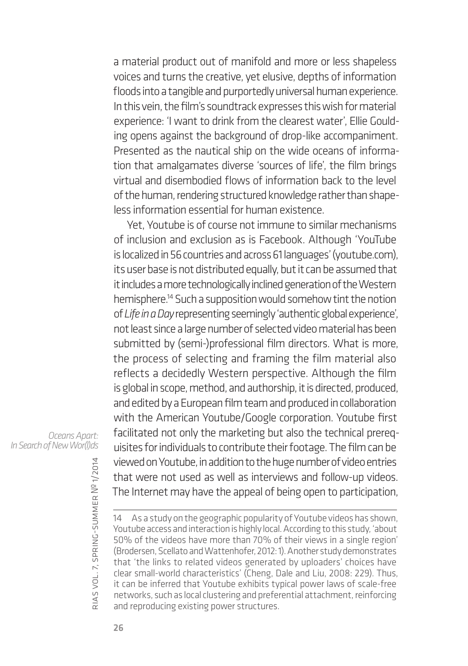a material product out of manifold and more or less shapeless voices and turns the creative, yet elusive, depths of information floods into a tangible and purportedly universal human experience. In this vein, the film's soundtrack expresses this wish for material experience: 'I want to drink from the clearest water', Ellie Goulding opens against the background of drop-like accompaniment. Presented as the nautical ship on the wide oceans of information that amalgamates diverse 'sources of life', the film brings virtual and disembodied flows of information back to the level of the human, rendering structured knowledge rather than shapeless information essential for human existence.

Yet, Youtube is of course not immune to similar mechanisms of inclusion and exclusion as is Facebook. Although 'YouTube is localized in 56 countries and across 61 languages' (youtube.com), its user base is not distributed equally, but it can be assumed that it includes a more technologically inclined generation of the Western hemisphere.14 Such a supposition would somehow tint the notion of *Life in a Day* representing seemingly 'authentic global experience', not least since a large number of selected video material has been submitted by (semi-)professional film directors. What is more, the process of selecting and framing the film material also reflects a decidedly Western perspective. Although the film is global in scope, method, and authorship, it is directed, produced, and edited by a European film team and produced in collaboration with the American Youtube/Google corporation. Youtube first facilitated not only the marketing but also the technical prerequisites for individuals to contribute their footage. The film can be viewed on Youtube, in addition to the huge number of video entries that were not used as well as interviews and follow-up videos. The Internet may have the appeal of being open to participation,

rias

*Oceans Apart: In Search of New Wor(l)ds*

vol. 7, spring-summer 14 As a study on the geographic popularity of Youtube videos has shown, Youtube access and interaction is highly local. According to this study, 'about 50% of the videos have more than 70% of their views in a single region' (Brodersen, Scellato and Wattenhofer, 2012: 1). Another study demonstrates that 'the links to related videos generated by uploaders' choices have clear small-world characteristics' (Cheng, Dale and Liu, 2008: 229). Thus, it can be inferred that Youtube exhibits typical power laws of scale-free networks, such as local clustering and preferential attachment, reinforcing and reproducing existing power structures.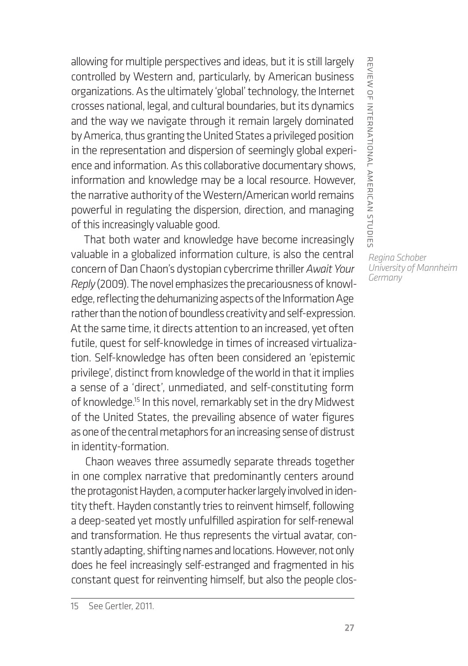allowing for multiple perspectives and ideas, but it is still largely controlled by Western and, particularly, by American business organizations. As the ultimately 'global' technology, the Internet crosses national, legal, and cultural boundaries, but its dynamics and the way we navigate through it remain largely dominated by America, thus granting the United States a privileged position in the representation and dispersion of seemingly global experience and information. As this collaborative documentary shows, information and knowledge may be a local resource. However, the narrative authority of the Western/American world remains powerful in regulating the dispersion, direction, and managing of this increasingly valuable good.

That both water and knowledge have become increasingly valuable in a globalized information culture, is also the central concern of Dan Chaon's dystopian cybercrime thriller *Await Your Reply* (2009). The novel emphasizes the precariousness of knowledge, reflecting the dehumanizing aspects of the Information Age rather than the notion of boundless creativity and self-expression. At the same time, it directs attention to an increased, yet often futile, quest for self-knowledge in times of increased virtualization. Self-knowledge has often been considered an 'epistemic privilege', distinct from knowledge of the world in that it implies a sense of a 'direct', unmediated, and self-constituting form of knowledge.<sup>15</sup> In this novel, remarkably set in the dry Midwest of the United States, the prevailing absence of water figures as one of the central metaphors for an increasing sense of distrust in identity-formation.

Chaon weaves three assumedly separate threads together in one complex narrative that predominantly centers around the protagonist Hayden, a computer hacker largely involved in identity theft. Hayden constantly tries to reinvent himself, following a deep-seated yet mostly unfulfilled aspiration for self-renewal and transformation. He thus represents the virtual avatar, constantly adapting, shifting names and locations. However, not only does he feel increasingly self-estranged and fragmented in his constant quest for reinventing himself, but also the people clos*Regina Schober University of Mannheim Germany*

review of international american studies

REVIEW OF INTERNATIONAL AMERICAN STUDIES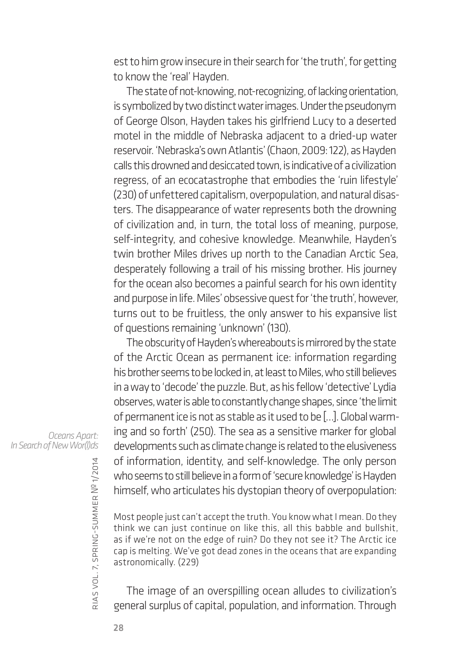est to him grow insecure in their search for 'the truth', for getting to know the 'real' Hayden.

The state of not-knowing, not-recognizing, of lacking orientation, is symbolized by two distinct water images. Under the pseudonym of George Olson, Hayden takes his girlfriend Lucy to a deserted motel in the middle of Nebraska adjacent to a dried-up water reservoir. 'Nebraska's own Atlantis' (Chaon, 2009: 122), as Hayden calls this drowned and desiccated town, is indicative of a civilization regress, of an ecocatastrophe that embodies the 'ruin lifestyle' (230) of unfettered capitalism, overpopulation, and natural disasters. The disappearance of water represents both the drowning of civilization and, in turn, the total loss of meaning, purpose, self-integrity, and cohesive knowledge. Meanwhile, Hayden's twin brother Miles drives up north to the Canadian Arctic Sea, desperately following a trail of his missing brother. His journey for the ocean also becomes a painful search for his own identity and purpose in life. Miles' obsessive quest for 'the truth', however, turns out to be fruitless, the only answer to his expansive list of questions remaining 'unknown' (130).

The obscurity of Hayden's whereabouts is mirrored by the state of the Arctic Ocean as permanent ice: information regarding his brother seems to be locked in, at least to Miles, who still believes in a way to 'decode' the puzzle. But, as his fellow 'detective' Lydia observes, water is able to constantly change shapes, since 'the limit of permanent ice is not as stable as it used to be […]. Global warming and so forth' (250). The sea as a sensitive marker for global developments such as climate change is related to the elusiveness of information, identity, and self-knowledge. The only person who seems to still believe in a form of 'secure knowledge' is Hayden himself, who articulates his dystopian theory of overpopulation:

Most people just can't accept the truth. You know what I mean. Do they think we can just continue on like this, all this babble and bullshit, as if we're not on the edge of ruin? Do they not see it? The Arctic ice cap is melting. We've got dead zones in the oceans that are expanding astronomically. (229)

The image of an overspilling ocean alludes to civilization's general surplus of capital, population, and information. Through

*Oceans Apart: In Search of New Wor(l)ds*

rias

vol. 7, spring-summer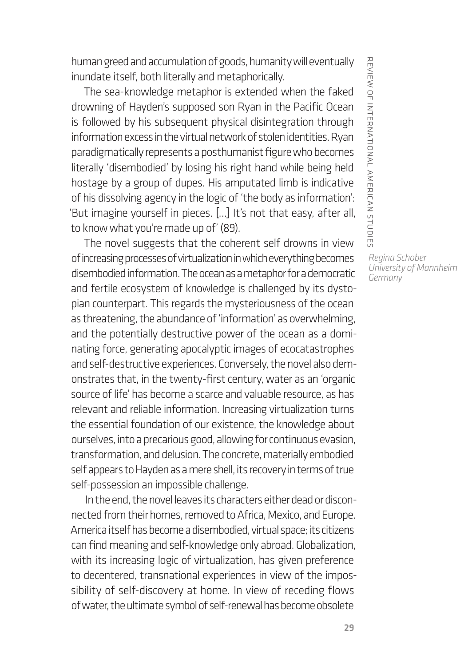human greed and accumulation of goods, humanity will eventually inundate itself, both literally and metaphorically.

The sea-knowledge metaphor is extended when the faked drowning of Hayden's supposed son Ryan in the Pacific Ocean is followed by his subsequent physical disintegration through information excess in the virtual network of stolen identities. Ryan paradigmatically represents a posthumanist figure who becomes literally 'disembodied' by losing his right hand while being held hostage by a group of dupes. His amputated limb is indicative of his dissolving agency in the logic of 'the body as information': 'But imagine yourself in pieces. […] It's not that easy, after all, to know what you're made up of' (89).

The novel suggests that the coherent self drowns in view of increasing processes of virtualization in which everything becomes disembodied information. The ocean as a metaphor for a democratic and fertile ecosystem of knowledge is challenged by its dystopian counterpart. This regards the mysteriousness of the ocean as threatening, the abundance of 'information' as overwhelming, and the potentially destructive power of the ocean as a dominating force, generating apocalyptic images of ecocatastrophes and self-destructive experiences. Conversely, the novel also demonstrates that, in the twenty-first century, water as an 'organic source of life' has become a scarce and valuable resource, as has relevant and reliable information. Increasing virtualization turns the essential foundation of our existence, the knowledge about ourselves, into a precarious good, allowing for continuous evasion, transformation, and delusion. The concrete, materially embodied self appears to Hayden as a mere shell, its recovery in terms of true self-possession an impossible challenge.

In the end, the novel leaves its characters either dead or disconnected from their homes, removed to Africa, Mexico, and Europe. America itself has become a disembodied, virtual space; its citizens can find meaning and self-knowledge only abroad. Globalization, with its increasing logic of virtualization, has given preference to decentered, transnational experiences in view of the impossibility of self-discovery at home. In view of receding flows of water, the ultimate symbol of self-renewal has become obsolete

REVIEW OF INTERNATIONAL AMERICAN STUDIES review of international american studies

*Regina Schober University of Mannheim Germany*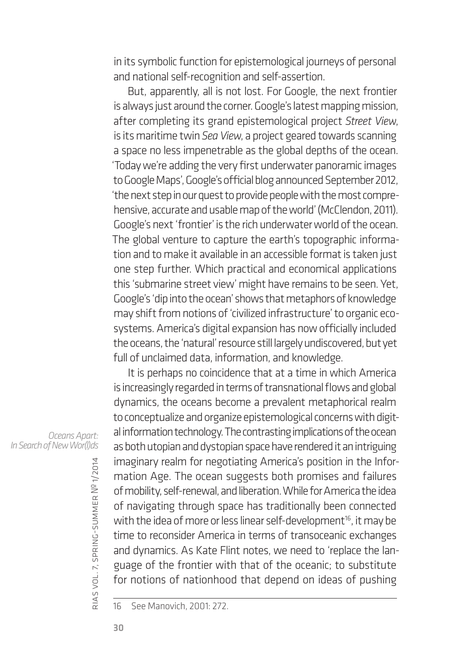in its symbolic function for epistemological journeys of personal and national self-recognition and self-assertion.

But, apparently, all is not lost. For Google, the next frontier is always just around the corner. Google's latest mapping mission, after completing its grand epistemological project *Street View*, is its maritime twin *Sea View*, a project geared towards scanning a space no less impenetrable as the global depths of the ocean. 'Today we're adding the very first underwater panoramic images to Google Maps', Google's official blog announced September 2012, 'the next step in our quest to provide people with the most comprehensive, accurate and usable map of the world' (McClendon, 2011). Google's next 'frontier' is the rich underwater world of the ocean. The global venture to capture the earth's topographic information and to make it available in an accessible format is taken just one step further. Which practical and economical applications this 'submarine street view' might have remains to be seen. Yet, Google's 'dip into the ocean' shows that metaphors of knowledge may shift from notions of 'civilized infrastructure' to organic ecosystems. America's digital expansion has now officially included the oceans, the 'natural' resource still largely undiscovered, but yet full of unclaimed data, information, and knowledge.

It is perhaps no coincidence that at a time in which America is increasingly regarded in terms of transnational flows and global dynamics, the oceans become a prevalent metaphorical realm to conceptualize and organize epistemological concerns with digital information technology. The contrasting implications of the ocean as both utopian and dystopian space have rendered it an intriguing imaginary realm for negotiating America's position in the Information Age. The ocean suggests both promises and failures of mobility, self-renewal, and liberation. While for America the idea of navigating through space has traditionally been connected with the idea of more or less linear self-development<sup>16</sup>, it may be time to reconsider America in terms of transoceanic exchanges and dynamics. As Kate Flint notes, we need to 'replace the language of the frontier with that of the oceanic; to substitute for notions of nationhood that depend on ideas of pushing

16 See Manovich, 2001: 272.

*Oceans Apart: In Search of New Wor(l)ds*

rias

vol. 7, spring-summer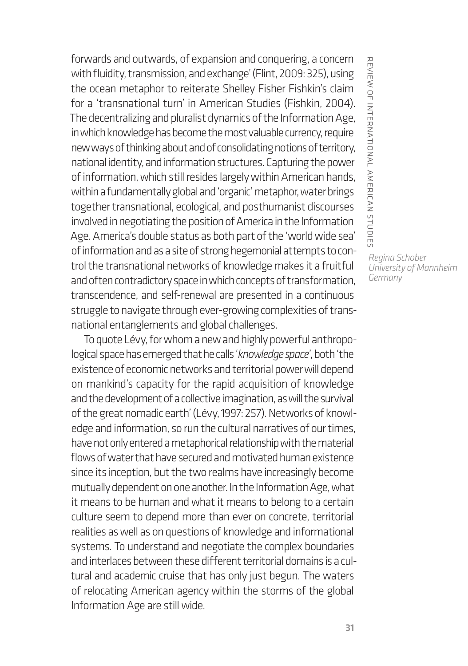forwards and outwards, of expansion and conquering, a concern with fluidity, transmission, and exchange' (Flint, 2009: 325), using the ocean metaphor to reiterate Shelley Fisher Fishkin's claim for a 'transnational turn' in American Studies (Fishkin, 2004). The decentralizing and pluralist dynamics of the Information Age, in which knowledge has become the most valuable currency, require new ways of thinking about and of consolidating notions of territory, national identity, and information structures. Capturing the power of information, which still resides largely within American hands, within a fundamentally global and 'organic' metaphor, water brings together transnational, ecological, and posthumanist discourses involved in negotiating the position of America in the Information Age. America's double status as both part of the 'world wide sea' of information and as a site of strong hegemonial attempts to control the transnational networks of knowledge makes it a fruitful and often contradictory space in which concepts of transformation, transcendence, and self-renewal are presented in a continuous struggle to navigate through ever-growing complexities of transnational entanglements and global challenges.

To quote Lévy, for whom a new and highly powerful anthropological space has emerged that he calls '*knowledge space*', both 'the existence of economic networks and territorial power will depend on mankind's capacity for the rapid acquisition of knowledge and the development of a collective imagination, as will the survival of the great nomadic earth' (Lévy, 1997: 257). Networks of knowledge and information, so run the cultural narratives of our times, have not only entered a metaphorical relationship with the material flows of water that have secured and motivated human existence since its inception, but the two realms have increasingly become mutually dependent on one another. In the Information Age, what it means to be human and what it means to belong to a certain culture seem to depend more than ever on concrete, territorial realities as well as on questions of knowledge and informational systems. To understand and negotiate the complex boundaries and interlaces between these different territorial domains is a cultural and academic cruise that has only just begun. The waters of relocating American agency within the storms of the global Information Age are still wide.

REVIEW OF INTERNATIONAL AMERICAN STUDIE: review of international american studies

*Regina Schober University of Mannheim Germany*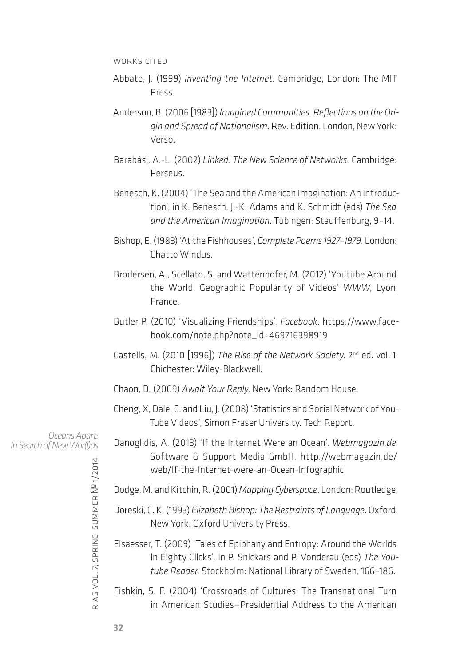WORKS CITED

- Abbate, J. (1999) *Inventing the Internet.* Cambridge, London: The MIT Press.
- Anderson, B. (2006 [1983]) *Imagined Communities. Reflections on the Origin and Spread of Nationalism*. Rev. Edition. London, New York: Verso.
- Barabási, A.-L. (2002) *Linked. The New Science of Networks.* Cambridge: Perseus.
- Benesch, K. (2004) 'The Sea and the American Imagination: An Introduction', in K. Benesch, J.-K. Adams and K. Schmidt (eds) *The Sea and the American Imagination*. Tübingen: Stauffenburg, 9–14.
- Bishop, E. (1983) 'At the Fishhouses', *Complete Poems 1927–1979*. London: Chatto Windus.
- Brodersen, A., Scellato, S. and Wattenhofer, M. (2012) 'Youtube Around the World. Geographic Popularity of Videos' *WWW*, Lyon, France.
- Butler P. (2010) 'Visualizing Friendships'. *Facebook*. https://www.facebook.com/note.php?note\_id=469716398919
- Castells, M. (2010 [1996]) *The Rise of the Network Society*. 2nd ed. vol. 1. Chichester: Wiley-Blackwell.
- Chaon, D. (2009) *Await Your Reply*. New York: Random House.
- Cheng, X, Dale, C. and Liu, J. (2008) 'Statistics and Social Network of You-Tube Videos', Simon Fraser University. Tech Report.

*Oceans Apart: In Search of New Wor(l)ds*

- Danoglidis, A. (2013) 'If the Internet Were an Ocean'. *Webmagazin.de.*  Software & Support Media GmbH. http://webmagazin.de/ web/If-the-Internet-were-an-Ocean-Infographic
- Dodge, M. and Kitchin, R. (2001) *Mapping Cyberspace*. London: Routledge.
- Doreski, C. K. (1993) *Elizabeth Bishop: The Restraints of Language*. Oxford, New York: Oxford University Press.
- Elsaesser, T. (2009) 'Tales of Epiphany and Entropy: Around the Worlds in Eighty Clicks', in P. Snickars and P. Vonderau (eds) *The Youtube Reader*. Stockholm: National Library of Sweden, 166–186.
- Fishkin, S. F. (2004) 'Crossroads of Cultures: The Transnational Turn in American Studies—Presidential Address to the American

rias

vol. 7, spring-summer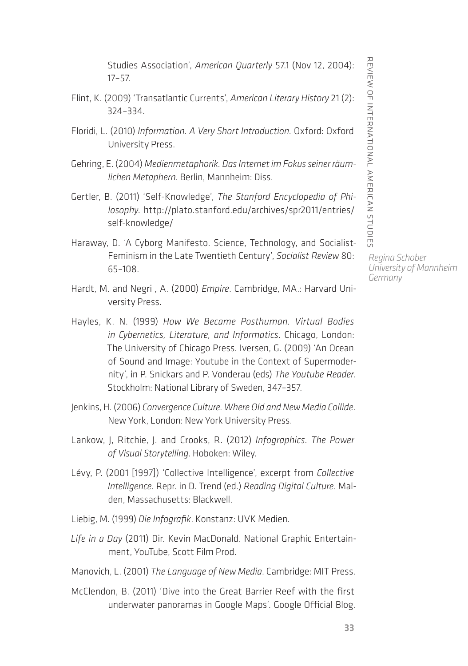REVIEW OF INTERNATIONAL AMERICAN STUDIES review of international american studies

Studies Association', *American Quarterly* 57.1 (Nov 12, 2004): 17–57.

- Flint, K. (2009) 'Transatlantic Currents', *American Literary History* 21 (2): 324–334.
- Floridi, L. (2010) *Information. A Very Short Introduction.* Oxford: Oxford University Press.
- Gehring, E. (2004) *Medienmetaphorik. Das Internet im Fokus seiner räumlichen Metaphern*. Berlin, Mannheim: Diss.
- Gertler, B. (2011) 'Self-Knowledge', *The Stanford Encyclopedia of Philosophy*. http://plato.stanford.edu/archives/spr2011/entries/ self-knowledge/
- Haraway, D. 'A Cyborg Manifesto. Science, Technology, and Socialist-Feminism in the Late Twentieth Century', *Socialist Review* 80: 65–108.
- Hardt, M. and Negri , A. (2000) *Empire*. Cambridge, MA.: Harvard University Press.
- Hayles, K. N. (1999) *How We Became Posthuman. Virtual Bodies in Cybernetics, Literature, and Informatics*. Chicago, London: The University of Chicago Press. Iversen, G. (2009) 'An Ocean of Sound and Image: Youtube in the Context of Supermodernity', in P. Snickars and P. Vonderau (eds) *The Youtube Reader*. Stockholm: National Library of Sweden, 347–357.
- Jenkins, H. (2006) *Convergence Culture. Where Old and New Media Collide*. New York, London: New York University Press.
- Lankow, J, Ritchie, J. and Crooks, R. (2012) *Infographics. The Power of Visual Storytelling*. Hoboken: Wiley.
- Lévy, P. (2001 [1997]) 'Collective Intelligence', excerpt from *Collective Intelligence.* Repr. in D. Trend (ed.) *Reading Digital Culture*. Malden, Massachusetts: Blackwell.
- Liebig, M. (1999) *Die Infografik*. Konstanz: UVK Medien.
- *Life in a Day* (2011) Dir. Kevin MacDonald. National Graphic Entertainment, YouTube, Scott Film Prod.
- Manovich, L. (2001) *The Language of New Media*. Cambridge: MIT Press.
- McClendon, B. (2011) 'Dive into the Great Barrier Reef with the first underwater panoramas in Google Maps'. Google Official Blog.

*Regina Schober University of Mannheim Germany*